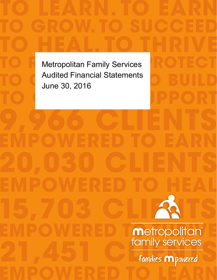families **m** powered **EMPOWERED TO LEARN 9,966 CLIENTS 15,703 CLIENTS Metropolitan EMPOWERED TO HEAL TO HEAL. TO THRIVE TO R**Metropolitan Family Services<br>
ROTECT **TO OVERCOME SURFERCOME SURFERCOME SURFERCOME SURFERCOME SURFERCOME SURFERCOME SURFERCOME SURFERCOME SURFERCOME SURFERCOME SURFERCOME SURFERCOME SURFERCOME SURFERCOME SURFERCOME SURFERCOME SURFERCOME SURFERCOME SURFERCOME** TO GUIDE DEPORT June 30, 2016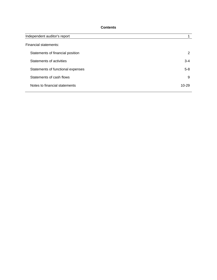# **Contents**

| Independent auditor's report      |         |
|-----------------------------------|---------|
| Financial statements:             |         |
| Statements of financial position  | 2       |
| Statements of activities          | $3 - 4$ |
| Statements of functional expenses | $5 - 8$ |
| Statements of cash flows          | 9       |
| Notes to financial statements     | 10-29   |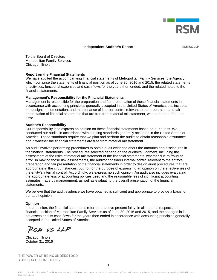

#### **Independent Auditor's Report**

**RSM US LLP** 

To the Board of Directors Metropolitan Family Services Chicago, Illinois

#### **Report on the Financial Statements**

We have audited the accompanying financial statements of Metropolitan Family Services (the Agency), which comprise the statements of financial position as of June 30, 2016 and 2015, the related statements of activities, functional expenses and cash flows for the years then ended, and the related notes to the financial statements.

#### **Management's Responsibility for the Financial Statements**

Management is responsible for the preparation and fair presentation of these financial statements in accordance with accounting principles generally accepted in the United States of America; this includes the design, implementation, and maintenance of internal control relevant to the preparation and fair presentation of financial statements that are free from material misstatement, whether due to fraud or error.

#### **Auditor's Responsibility**

Our responsibility is to express an opinion on these financial statements based on our audits. We conducted our audits in accordance with auditing standards generally accepted in the United States of America. Those standards require that we plan and perform the audits to obtain reasonable assurance about whether the financial statements are free from material misstatement.

An audit involves performing procedures to obtain audit evidence about the amounts and disclosures in the financial statements. The procedures selected depend on the auditor's judgment, including the assessment of the risks of material misstatement of the financial statements, whether due to fraud or error. In making those risk assessments, the auditor considers internal control relevant to the entity's preparation and fair presentation of the financial statements in order to design audit procedures that are appropriate in the circumstances, but not for the purpose of expressing an opinion on the effectiveness of the entity's internal control. Accordingly, we express no such opinion. An audit also includes evaluating the appropriateness of accounting policies used and the reasonableness of significant accounting estimates made by management, as well as evaluating the overall presentation of the financial statements.

We believe that the audit evidence we have obtained is sufficient and appropriate to provide a basis for our audit opinion.

#### **Opinion**

In our opinion, the financial statements referred to above present fairly, in all material respects, the financial position of Metropolitan Family Services as of June 30, 2016 and 2015, and the changes in its net assets and its cash flows for the years then ended in accordance with accounting principles generally accepted in the United States of America.

RSM US LLP

Chicago, Illinois October 31, 2016

THE POWER OF BEING UNDERSTOOD AUDIT | TAX | CONSULTING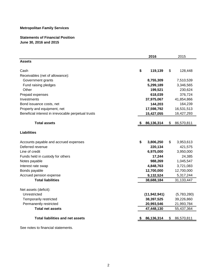# **Statements of Financial Position June 30, 2016 and 2015**

|                                                     | 2016            |    | 2015        |
|-----------------------------------------------------|-----------------|----|-------------|
| <b>Assets</b>                                       |                 |    |             |
| Cash                                                | \$<br>119,139   | \$ | 128,448     |
| Receivables (net of allowance):                     |                 |    |             |
| Government grants                                   | 8,755,309       |    | 7,510,539   |
| Fund raising pledges                                | 5,299,189       |    | 3,346,565   |
| Other                                               | 199,521         |    | 230,624     |
| Prepaid expenses                                    | 618,039         |    | 376,724     |
| Investments                                         | 37,975,067      |    | 41,854,866  |
| Bond issuance costs, net                            | 144,203         |    | 164,239     |
| Property and equipment, net                         | 17,598,792      |    | 16,531,513  |
| Beneficial interest in irrevocable perpetual trusts | 15,427,055      |    | 16,427,293  |
| <b>Total assets</b>                                 | 86,136,314      | S  | 86,570,811  |
| <b>Liabilities</b>                                  |                 |    |             |
| Accounts payable and accrued expenses               | \$<br>3,806,250 | S  | 3,953,613   |
| Deferred revenue                                    | 220,134         |    | 421,575     |
| Line of credit                                      | 6,975,000       |    | 3,950,000   |
| Funds held in custody for others                    | 17,244          |    | 24,385      |
| Notes payable                                       | 988,269         |    | 1,045,547   |
| Interest rate swap                                  | 4,848,763       |    | 3,721,083   |
| Bonds payable                                       | 12,700,000      |    | 12,700,000  |
| Accrued pension expense                             | 9,132,524       |    | 5,317,244   |
| <b>Total liabilities</b>                            | 38,688,184      |    | 31,133,447  |
| Net assets (deficit):                               |                 |    |             |
| Unrestricted                                        | (11, 942, 941)  |    | (5,783,280) |
| Temporarily restricted                              | 38,397,525      |    | 39,226,860  |
| Permanently restricted                              | 20,993,546      |    | 21,993,784  |
| <b>Total net assets</b>                             | 47,448,130      |    | 55,437,364  |
| <b>Total liabilities and net assets</b>             | 86,136,314      | S  | 86,570,811  |
|                                                     |                 |    |             |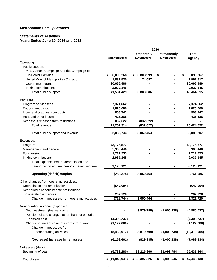# **Statements of Activities Years Ended June 30, 2016 and 2015**

|                                                 | 2016 |                     |   |                    |                    |    |                |  |
|-------------------------------------------------|------|---------------------|---|--------------------|--------------------|----|----------------|--|
|                                                 |      |                     |   | <b>Temporarily</b> | <b>Permanently</b> |    | <b>Total</b>   |  |
|                                                 |      | <b>Unrestricted</b> |   | <b>Restricted</b>  | <b>Restricted</b>  |    | <b>Agency</b>  |  |
| Operating:                                      |      |                     |   |                    |                    |    |                |  |
| Public support:                                 |      |                     |   |                    |                    |    |                |  |
| MFS Annual Campaign and the Campaign to         |      |                     |   |                    |                    |    |                |  |
| <b>M-Power Families</b>                         | S    | 6,090,268           | S | 3,808,999          | \$                 | S  | 9,899,267      |  |
| United Way of Metropolitan Chicago              |      | 1,887,530           |   | 74,087             |                    |    | 1,961,617      |  |
| Government grants                               |      | 30,666,486          |   |                    |                    |    | 30,666,486     |  |
| In-kind contributions                           |      | 2,937,145           |   |                    |                    |    | 2,937,145      |  |
| Total public support                            |      | 41,581,429          |   | 3,883,086          |                    |    | 45,464,515     |  |
| Revenue:                                        |      |                     |   |                    |                    |    |                |  |
| Program service fees                            |      | 7,374,662           |   |                    |                    |    | 7,374,662      |  |
| Endowment payout                                |      | 1,820,000           |   |                    |                    |    | 1,820,000      |  |
| Income allocations from trusts                  |      | 806,742             |   |                    |                    |    | 806,742        |  |
| Rent and other income                           |      | 423,288             |   |                    |                    |    | 423,288        |  |
| Net assets released from restrictions           |      | 832,622             |   | (832, 622)         |                    |    |                |  |
| Total revenue                                   |      | 11,257,314          |   | (832, 622)         |                    |    | 10,424,692     |  |
| Total public support and revenue                |      | 52,838,743          |   | 3,050,464          |                    |    | 55,889,207     |  |
|                                                 |      |                     |   |                    |                    |    |                |  |
| Expenses:                                       |      |                     |   |                    |                    |    |                |  |
| Program                                         |      | 43,175,577          |   |                    |                    |    | 43,175,577     |  |
| Management and general                          |      | 5,303,446           |   |                    |                    |    | 5,303,446      |  |
| Fund raising                                    |      | 1,711,953           |   |                    |                    |    | 1,711,953      |  |
| In-kind contributions                           |      | 2,937,145           |   |                    |                    |    | 2,937,145      |  |
| Total expenses before depreciation and          |      |                     |   |                    |                    |    |                |  |
| amortization and net periodic benefit income    |      | 53,128,121          |   |                    |                    |    | 53,128,121     |  |
| <b>Operating (deficit) surplus</b>              |      | (289, 378)          |   | 3,050,464          |                    |    | 2,761,086      |  |
| Other changes from operating activities:        |      |                     |   |                    |                    |    |                |  |
| Depreciation and amortization                   |      | (647, 094)          |   |                    |                    |    | (647, 094)     |  |
| Net periodic benefit income not included        |      |                     |   |                    |                    |    |                |  |
| in operating expenses                           |      | 207,728             |   |                    | ٠                  |    | 207,728        |  |
| Change in net assets from operating activities  |      | (728, 744)          |   | 3,050,464          | $\blacksquare$     |    | 2,321,720      |  |
|                                                 |      |                     |   |                    |                    |    |                |  |
| Nonoperating revenue (expenses):                |      |                     |   |                    |                    |    |                |  |
| Net investment (losses) gains                   |      |                     |   | (3,879,799)        | (1,000,238)        |    | (4,880,037)    |  |
| Pension related changes other than net periodic |      |                     |   |                    |                    |    |                |  |
| pension cost                                    |      | (4,303,237)         |   |                    |                    |    | (4,303,237)    |  |
| Change in market value of interest rate swap    |      | (1, 127, 680)       |   |                    |                    |    | (1, 127, 680)  |  |
| Change in net assets from                       |      |                     |   |                    |                    |    |                |  |
| nonoperating activities                         |      | (5,430,917)         |   | (3,879,799)        | (1,000,238)        |    | (10, 310, 954) |  |
| (Decrease) increase in net assets               |      | (6, 159, 661)       |   | (829, 335)         | (1,000,238)        |    | (7,989,234)    |  |
| Net assets (deficit):                           |      |                     |   |                    |                    |    |                |  |
| Beginning of year                               |      | (5,783,280)         |   | 39,226,860         | 21,993,784         |    | 55,437,364     |  |
| End of year                                     |      | \$ (11, 942, 941)   |   | \$38,397,525       | \$20,993,546       | \$ | 47,448,130     |  |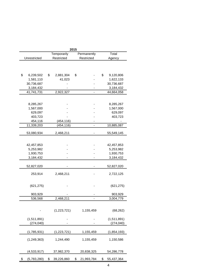|    |                                       |    |             | 2015      |             |    |             |
|----|---------------------------------------|----|-------------|-----------|-------------|----|-------------|
|    |                                       |    | Temporarily |           | Permanently |    | Total       |
|    | Unrestricted                          |    | Restricted  |           | Restricted  |    | Agency      |
|    |                                       |    |             |           |             |    |             |
|    |                                       |    |             |           |             |    |             |
|    |                                       |    |             |           |             |    |             |
| \$ | 6,239,502                             | \$ | 2,881,304   | \$        |             | \$ | 9,120,806   |
|    | 1,581,110                             |    | 41,023      |           |             |    | 1,622,133   |
|    | 30,736,687                            |    |             |           |             |    | 30,736,687  |
|    | 3,184,432                             |    |             |           |             |    | 3,184,432   |
|    | 41,741,731                            |    | 2,922,327   |           |             |    | 44,664,058  |
|    |                                       |    |             |           |             |    |             |
|    |                                       |    |             |           |             |    |             |
|    | 8,285,267                             |    |             |           |             |    | 8,285,267   |
|    | 1,567,000                             |    |             |           |             |    | 1,567,000   |
|    | 629,097                               |    |             |           |             |    | 629,097     |
|    | 403,723                               |    |             |           |             |    | 403,723     |
|    | 454,116                               |    | (454, 116)  |           |             |    |             |
|    | 11,339,203                            |    | (454, 116)  |           | -           |    | 10,885,087  |
|    |                                       |    |             |           |             |    |             |
|    | 53,080,934                            |    | 2,468,211   |           |             |    | 55,549,145  |
|    |                                       |    |             |           |             |    |             |
|    | 42,457,853                            |    |             |           |             |    | 42,457,853  |
|    | 5,253,982                             |    |             |           |             |    | 5,253,982   |
|    | 1,930,753                             |    |             |           |             |    | 1,930,753   |
|    | 3,184,432                             |    |             |           |             |    | 3,184,432   |
|    |                                       |    |             |           |             |    |             |
|    | 52,827,020                            |    |             |           |             |    | 52,827,020  |
|    |                                       |    |             |           |             |    |             |
|    | 253,914                               |    | 2,468,211   |           |             |    | 2,722,125   |
|    |                                       |    |             |           |             |    |             |
|    |                                       |    |             |           |             |    |             |
|    | (621, 275)                            |    |             |           |             |    | (621, 275)  |
|    |                                       |    |             |           |             |    |             |
|    | 903,929                               |    |             |           |             |    | 903,929     |
|    | 536,568                               |    | 2,468,211   |           |             |    | 3,004,779   |
|    |                                       |    |             |           |             |    |             |
|    |                                       |    |             |           |             |    |             |
|    |                                       |    | (1,223,721) |           | 1,155,459   |    | (68, 262)   |
|    |                                       |    |             |           |             |    |             |
|    | (1,511,891)                           |    |             |           |             |    | (1,511,891) |
|    | (274, 040)                            |    |             |           |             |    | (274, 040)  |
|    |                                       |    |             |           |             |    |             |
|    | (1,785,931)                           |    | (1,223,721) |           | 1,155,459   |    | (1,854,193) |
|    |                                       |    |             |           |             |    |             |
|    | (1,249,363)<br>1,244,490<br>1,155,459 |    |             | 1,150,586 |             |    |             |
|    |                                       |    |             |           |             |    |             |
|    | (4,533,917)                           |    | 37,982,370  |           | 20,838,325  |    | 54,286,778  |
|    |                                       |    |             |           |             |    |             |
| \$ | (5,783,280)                           | \$ | 39,226,860  | \$        | 21,993,784  | \$ | 55,437,364  |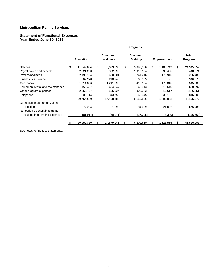#### **Statement of Functional Expenses Year Ended June 30, 2016**

|                                                                   | <b>Programs</b> |                  |    |                                     |    |                                     |    |                    |    |                  |
|-------------------------------------------------------------------|-----------------|------------------|----|-------------------------------------|----|-------------------------------------|----|--------------------|----|------------------|
|                                                                   |                 | <b>Education</b> |    | <b>Emotional</b><br><b>Wellness</b> |    | <b>Economic</b><br><b>Stability</b> |    | <b>Empowerment</b> |    | Total<br>Program |
| <b>Salaries</b>                                                   | \$              | 11,242,004       | \$ | 8,699,533                           | \$ | 3,895,366                           | \$ | 1,108,749          | \$ | 24,945,652       |
| Payroll taxes and benefits                                        |                 | 2,821,250        |    | 2,302,695                           |    | 1,017,194                           |    | 299,435            |    | 6,440,574        |
| Professional fees                                                 |                 | 2,193,124        |    | 650,001                             |    | 241,416                             |    | 171,945            |    | 3,256,486        |
| Financial assistance                                              |                 | 67,278           |    | 210,943                             |    | 68,355                              |    |                    |    | 346,576          |
| Occupancy                                                         |                 | 1,714,366        |    | 1,241,390                           |    | 416,164                             |    | 173,315            |    | 3,545,235        |
| Equipment rental and maintenance                                  |                 | 150,497          |    | 454,247                             |    | 43,313                              |    | 10,640             |    | 658,697          |
| Other program expenses                                            |                 | 2,259,427        |    | 555,924                             |    | 308,383                             |    | 12,617             |    | 3,136,351        |
| Telephone                                                         |                 | 306,714          |    | 343,756                             |    | 162,345                             |    | 33,191             |    | 846,006          |
|                                                                   |                 | 20,754,660       |    | 14,458,489                          |    | 6,152,536                           |    | 1,809,892          |    | 43,175,577       |
| Depreciation and amortization<br>allocation                       |                 | 277,204          |    | 181,693                             |    | 84,099                              |    | 24,002             |    | 566,998          |
| Net periodic benefit income not<br>included in operating expenses |                 | (81, 014)        |    | (60, 241)                           |    | (27,005)                            |    | (8,309)            |    | (176, 569)       |
|                                                                   |                 | 20,950,850       | \$ | 14,579,941                          |    | 6,209,630                           | S  | 1,825,585          | S  | 43,566,006       |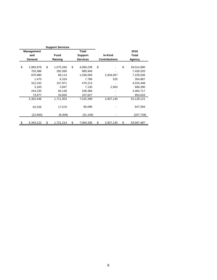|                   |    | <b>Support Services</b> |                 |                      |    |              |
|-------------------|----|-------------------------|-----------------|----------------------|----|--------------|
| <b>Management</b> |    |                         | Total           |                      |    | 2016         |
| and               |    | <b>Fund</b>             | <b>Support</b>  | In-Kind              |    | <b>Total</b> |
| General           |    | Raising                 | <b>Services</b> | <b>Contributions</b> |    | Agency       |
|                   |    |                         |                 |                      |    |              |
| \$<br>2,993,978   | \$ | 1,075,260               | \$<br>4,069,238 | \$                   | \$ | 29,014,890   |
| 703,386           |    | 282,560                 | 985,946         |                      |    | 7,426,520    |
| 970,980           |    | 68,113                  | 1,039,093       | 2,934,057            |    | 7,229,636    |
| 1,470             |    | 6,316                   | 7,786           | 525                  |    | 354,887      |
| 312,242           |    | 157,971                 | 470,213         |                      |    | 4,015,448    |
| 3,183             |    | 3,947                   | 7,130           | 2,563                |    | 668,390      |
| 244,230           |    | 84,136                  | 328,366         |                      |    | 3,464,717    |
| 73,977            |    | 33,650                  | 107,627         |                      |    | 953,633      |
| 5,303,446         |    | 1,711,953               | 7,015,399       | 2,937,145            |    | 53,128,121   |
| 62,526            |    | 17,570                  | 80,096          |                      |    | 647,094      |
| (22, 850)         |    | (8,309)                 | (31, 159)       |                      |    | (207, 728)   |
| \$<br>5,343,122   | \$ | 1,721,214               | \$<br>7,064,336 | \$<br>2,937,145      | \$ | 53,567,487   |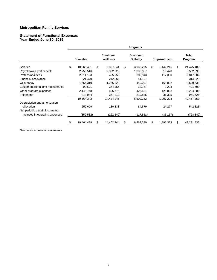#### **Statement of Functional Expenses Year Ended June 30, 2015**

|                                                                   | <b>Programs</b> |                  |    |                                     |    |                                     |    |                    |    |                  |
|-------------------------------------------------------------------|-----------------|------------------|----|-------------------------------------|----|-------------------------------------|----|--------------------|----|------------------|
|                                                                   |                 | <b>Education</b> |    | <b>Emotional</b><br><b>Wellness</b> |    | <b>Economic</b><br><b>Stability</b> |    | <b>Empowerment</b> |    | Total<br>Program |
| <b>Salaries</b>                                                   | \$              | 10,563,421       | \$ | 8,807,644                           | \$ | 3,962,205                           | \$ | 1,142,216          | \$ | 24,475,486       |
| Payroll taxes and benefits                                        |                 | 2,756,516        |    | 2,392,725                           |    | 1,086,887                           |    | 316,470            |    | 6,552,598        |
| Professional fees                                                 |                 | 2,011,153        |    | 435,856                             |    | 282,843                             |    | 117,350            |    | 2,847,202        |
| Financial assistance                                              |                 | 21,470           |    | 242,258                             |    | 51,197                              |    |                    |    | 314,925          |
| Occupancy                                                         |                 | 1,654,319        |    | 1,256,420                           |    | 449,997                             |    | 168,802            |    | 3,529,538        |
| Equipment rental and maintenance                                  |                 | 90,671           |    | 374,956                             |    | 23,757                              |    | 2,208              |    | 491,592          |
| Other program expenses                                            |                 | 2,148,748        |    | 596,775                             |    | 425,531                             |    | 123,832            |    | 3,294,886        |
| Telephone                                                         |                 | 318,044          |    | 377,412                             |    | 219,845                             |    | 36,325             |    | 951,626          |
|                                                                   |                 | 19,564,342       |    | 14,484,046                          |    | 6,502,262                           |    | 1,907,203          |    | 42,457,853       |
| Depreciation and amortization<br>allocation                       |                 | 252,629          |    | 180,838                             |    | 84,579                              |    | 24,277             |    | 542,323          |
| Net periodic benefit income not<br>included in operating expenses |                 | (352,532)        |    | (262, 140)                          |    | (117, 511)                          |    | (36, 157)          |    | (768, 340)       |
|                                                                   |                 | 19,464,439       | S. | 14,402,744                          | S. | 6,469,330                           | S  | 1,895,323          | S  | 42,231,836       |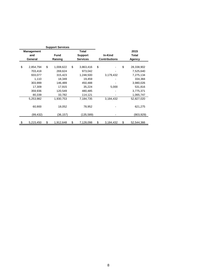|                   | <b>Support Services</b> |                 |    |                      |    |              |
|-------------------|-------------------------|-----------------|----|----------------------|----|--------------|
| <b>Management</b> |                         | <b>Total</b>    |    |                      |    | 2015         |
| and               | <b>Fund</b>             | <b>Support</b>  |    | In-Kind              |    | <b>Total</b> |
| General           | Raising                 | <b>Services</b> |    | <b>Contributions</b> |    | Agency       |
|                   |                         |                 |    |                      |    |              |
| \$<br>2,854,794   | \$<br>1,008,622         | \$<br>3,863,416 | \$ |                      | \$ | 28,338,902   |
| 703,418           | 269,624                 | 973,042         |    |                      |    | 7,525,640    |
| 933,077           | 315,423                 | 1,248,500       |    | 3,179,432            |    | 7,275,134    |
| 1,110             | 18,349                  | 19,459          |    |                      |    | 334,384      |
| 303,999           | 146,489                 | 450,488         |    |                      |    | 3,980,026    |
| 17,309            | 17,915                  | 35,224          |    | 5,000                |    | 531,816      |
| 359,936           | 120,549                 | 480,485         |    |                      |    | 3,775,371    |
| 80,339            | 33,782                  | 114,121         |    |                      |    | 1,065,747    |
| 5,253,982         | 1,930,753               | 7,184,735       |    | 3,184,432            |    | 52,827,020   |
| 60,900            | 18,052                  | 78,952          |    |                      |    | 621,275      |
| (99, 432)         | (36,157)                | (135,589)       |    |                      |    | (903, 929)   |
| \$<br>5,215,450   | \$<br>1,912,648         | \$<br>7,128,098 | \$ | 3,184,432            | \$ | 52,544,366   |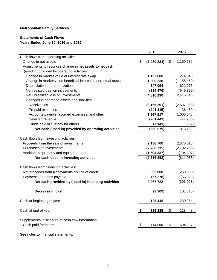# **Statements of Cash Flows Years Ended June 30, 2016 and 2015**

|                                                                |    | 2016          | 2015            |
|----------------------------------------------------------------|----|---------------|-----------------|
| Cash flows from operating activities:                          |    |               |                 |
| Change in net assets                                           | \$ | (7,989,234)   | \$<br>1,150,586 |
| Adjustments to reconcile change in net assets to net cash      |    |               |                 |
| (used in) provided by operating activities:                    |    |               |                 |
| Change in market value of interest rate swap                   |    | 1,127,680     | 274,040         |
| Change in market value beneficial interest in perpetual trusts |    | 1,000,238     | (1, 155, 459)   |
| Depreciation and amortization                                  |    | 647,094       | 621,275         |
| Net realized gain on investments                               |    | (314, 376)    | (549, 379)      |
| Net unrealized loss on investments                             |    | 4,816,190     | 2,415,848       |
| Changes in operating assets and liabilities:                   |    |               |                 |
| Receivables                                                    |    | (3, 166, 291) | (2,537,938)     |
| Prepaid expenses                                               |    | (241, 315)    | 36,459          |
| Accounts payable, accrued expenses, and other                  |    | 3,667,917     | 1,006,648       |
| Deferred revenue                                               |    | (201, 441)    | (444, 936)      |
| Funds held in custody for others                               |    | (7, 141)      | (982)           |
| Net cash (used in) provided by operating activities            |    | (660, 679)    | 816,162         |
|                                                                |    |               |                 |
| Cash flows from investing activities:                          |    |               |                 |
| Proceeds from the sale of investments                          |    | 2,138,700     | 2,376,015       |
| Purchases of investments                                       |    | (2,760,715)   | (2,792,763)     |
| Additions to property and equipment, net                       |    | (1,694,337)   | (194, 307)      |
| Net cash used in investing activities                          |    | (2,316,352)   | (611, 055)      |
|                                                                |    |               |                 |
| Cash flows from financing activities:                          |    |               |                 |
| Net proceeds from (repayments of) line of credit               |    | 3,025,000     | (250,000)       |
| Payments on notes payable                                      |    | (57, 278)     | (56, 923)       |
| Net cash provided by (used in) financing activities            |    | 2,967,722     | (306, 923)      |
| Decrease in cash                                               |    | (9, 309)      | (101, 816)      |
|                                                                |    |               |                 |
| Cash at beginning of year                                      |    | 128,448       | 230,264         |
|                                                                |    |               |                 |
| Cash at end of year                                            | 5  | 119,139       | \$<br>128,448   |
| Supplemental disclosure of cash flow information:              |    |               |                 |
| Cash paid for interest                                         | \$ | 774,000       | \$<br>694,227   |
|                                                                |    |               |                 |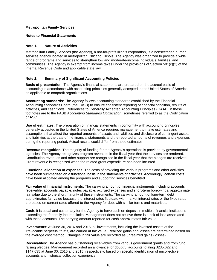### **Notes to Financial Statements**

## **Note 1. Nature of Activities**

Metropolitan Family Services (the Agency), a not-for-profit Illinois corporation, is a nonsectarian human services agency located in metropolitan Chicago, Illinois. The Agency was organized to provide a wide range of programs and services to strengthen low and moderate-income individuals, families, and communities. The Agency is exempt from income taxes under the provisions of Section 501(c)(3) of the Internal Revenue Code and applicable state law.

# **Note 2. Summary of Significant Accounting Policies**

**Basis of presentation**: The Agency's financial statements are prepared on the accrual basis of accounting in accordance with accounting principles generally accepted in the United States of America, as applicable to nonprofit organizations.

**Accounting standards**: The Agency follows accounting standards established by the Financial Accounting Standards Board (the FASB) to ensure consistent reporting of financial condition, results of activities, and cash flows. References to Generally Accepted Accounting Principles (GAAP) in these footnotes are to the FASB *Accounting Standards Codification,* sometimes referred to as the Codification or ASC.

**Use of estimates**: The preparation of financial statements in conformity with accounting principles generally accepted in the United States of America requires management to make estimates and assumptions that affect the reported amounts of assets and liabilities and disclosure of contingent assets and liabilities at the date of the financial statements and the reported amounts of revenues and expenses during the reporting period. Actual results could differ from those estimates.

**Revenue recognition**: The majority of funding for the Agency's operations is provided by governmental agencies. The Agency recognizes program revenues in the fiscal year that the services are rendered. Contribution revenues and other support are recognized in the fiscal year that the pledges are received. Grant revenue is recognized when the related grant expenditure has been incurred.

**Functional allocation of expenses**: The costs of providing the various programs and other activities have been summarized on a functional basis in the statements of activities. Accordingly, certain costs have been allocated among the programs and supporting services benefited.

**Fair value of financial instruments**: The carrying amount of financial instruments including accounts receivable, accounts payable, notes payable, accrued expenses and short-term borrowings, approximate fair value due to the short maturity of these instruments. The carrying amount of long-term debt approximates fair value because the interest rates fluctuate with market interest rates or the fixed rates are based on current rates offered to the Agency for debt with similar terms and maturities.

**Cash**: It is usual and customary for the Agency to have cash on deposit in multiple financial institutions exceeding the federally insured limits. Management does not believe there is a risk of loss associated with these accounts. The carrying amount reported for cash approximates fair value.

**Investments**: At June 30, 2016 and 2015, all investments, including the invested assets of the irrevocable perpetual trusts, are carried at fair value. Realized gains and losses are determined based on the average cost method. Changes in fair value are recorded as unrealized gains (losses).

**Receivables**: The Agency has outstanding receivables from various government grants and from fund raising pledges. Management recorded an allowance for doubtful accounts totaling \$235,622 and \$147,635 at June 30, 2016 and 2015, respectively, based on specific identification of uncollectible accounts and historical collection experience.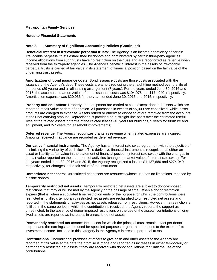### **Notes to Financial Statements**

# **Note 2. Summary of Significant Accounting Policies (Continued)**

**Beneficial interest in irrevocable perpetual trusts**: The Agency is an income beneficiary of certain irrevocable perpetual trusts established by donors and administered by certain third-party agencies. Income allocations from such trusts have no restriction on their use and are recognized as revenue when received from the third-party agencies. The Agency's beneficial interest in the assets of irrevocable perpetual trusts is carried at fair value in its statement of financial position based on the fair value of the underlying trust assets.

**Amortization of bond issuance costs**: Bond issuance costs are those costs associated with the issuance of the Agency's debt. These costs are amortized using the straight-line method over the life of the bonds (29 years) and a refinancing arrangement (7 years). For the years ended June 30, 2016 and 2015, the accumulated amortization of bond issuance costs was \$194,976 and \$174,940, respectively. Amortization expense was \$20,036 for the years ended June 30, 2016 and 2015, respectively.

**Property and equipment**: Property and equipment are carried at cost, except donated assets which are recorded at fair value at date of donation. All purchases in excess of \$5,000 are capitalized, while lesser amounts are charged to expense. Assets retired or otherwise disposed of are removed from the accounts at their net carrying amount. Depreciation is provided on a straight-line basis over the estimated useful lives of the related assets or terms of the related leases (40 years for buildings, 5 years for furniture and equipment, and 2-7 years for leasehold improvements).

**Deferred revenue**: The Agency recognizes grants as revenue when related expenses are incurred. Amounts received in advance are recorded as deferred revenue.

**Derivative financial instruments**: The Agency has an interest rate swap agreement with the objective of minimizing the variability of cash flows. This derivative financial instrument is recognized as either an asset or liability at fair value in the statement of financial position (interest rate swap) with the changes in the fair value reported on the statement of activities (change in market value of interest rate swap). For the years ended June 30, 2016 and 2015, the Agency recognized a loss of \$1,127,680 and \$274,040, respectively, for changes in the fair value of the instrument.

**Unrestricted net assets**: Unrestricted net assets are resources whose use has no limitations imposed by outside donors.

**Temporarily restricted net assets**: Temporarily restricted net assets are subject to donor-imposed restrictions that may or will be met by the Agency or the passage of time. When a donor restriction expires (that is, when a stipulated time restriction ends or the purpose for which the contributions were restricted is fulfilled), temporarily restricted net assets are reclassified to unrestricted net assets and reported in the statements of activities as net assets released from restrictions. However, if a restriction is fulfilled in the same period in which the contribution is received, the Agency reports the support as unrestricted. In the absence of donor-imposed restrictions on the use of the assets, contributions of longlived assets are reported as increases in unrestricted net assets.

**Permanently restricted net assets**: Net assets for which the principal must remain intact per donor request and the earnings can be used for specified purposes or general operations to the extent of its investment income. Included in this category is the Agency's interest in perpetual trusts.

**Contributions**: Unconditional promises of others to give cash and other assets to the Agency are recorded at fair value at the date the promise is made and reported as increases in either temporarily or permanently restricted net assets if they are received with donor stipulations that limit the use of the contributions.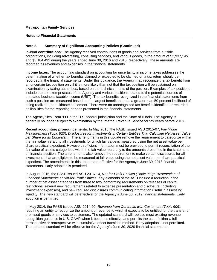### **Notes to Financial Statements**

## **Note 2. Summary of Significant Accounting Policies (Continued)**

**In-kind contributions**: The Agency received contributions of goods and services from outside corporations, including advertising, consulting services, and various goods, in the amount of \$2,937,145 and \$3,184,432 during the years ended June 30, 2016 and 2015, respectively. These amounts are recorded as revenues and expenses in the financial statements.

**Income taxes**: The accounting standard on accounting for uncertainty in income taxes addresses the determination of whether tax benefits claimed or expected to be claimed on a tax return should be recorded in the financial statements. Under this guidance, the Agency may recognize the tax benefit from an uncertain tax position only if it is more likely than not that the tax position will be sustained on examination by taxing authorities, based on the technical merits of the position. Examples of tax positions include the tax-exempt status of the Agency and various positions related to the potential sources of unrelated business taxable income (UBIT). The tax benefits recognized in the financial statements from such a position are measured based on the largest benefit that has a greater than 50 percent likelihood of being realized upon ultimate settlement. There were no unrecognized tax benefits identified or recorded as liabilities for the reporting periods presented in the financial statements.

The Agency files Form 990 in the U.S. federal jurisdiction and the State of Illinois. The Agency is generally no longer subject to examination by the Internal Revenue Service for tax years before 2013.

**Recent accounting pronouncements**: In May 2015, the FASB issued ASU 2015-07, *Fair Value Measurement (Topic 820), Disclosures for Investments in Certain Entities That Calculate Net Asset Value per Share (or its Equivalent*). The amendments in this update remove the requirement to categorize within the fair value hierarchy all investments for which fair value is measured using the net asset value per share practical expedient. However, sufficient information must be provided to permit reconciliation of the fair value of assets categorized within the fair value hierarchy to the amounts presented in the statement of financial position. The amendments also remove the requirement to make certain disclosures for all investments that are eligible to be measured at fair value using the net asset value per share practical expedient. The amendments in this update are effective for the Agency's June 30, 2018 financial statements. Early adoption is permitted.

In August 2016, the FASB issued ASU 2016-14, *Not-for-Profit Entities (Topic 958): Presentation of Financial Statements of Not-for-Profit Entities*. Key elements of the ASU include a reduction in the number of net asset categories from three to two, conforming requirements on releases of capital restrictions, several new requirements related to expense presentation and disclosure (including investment expenses), and new required disclosures communicating information useful in assessing liquidity. The new standard will be effective for the Agency's June 30, 2019 financial statements. Early adoption is permitted.

In May 2014, the FASB issued ASU 2014-09, *Revenue from Contracts with Customers (Topic 606)*, requiring an entity to recognize the amount of revenue to which it expects to be entitled for the transfer of promised goods or services to customers. The updated standard will replace most existing revenue recognition guidance in U.S. GAAP when it becomes effective and permits the use of either a full retrospective or retrospective with cumulative effect transition method. Early adoption is not permitted. The updated standard will be effective for the Agency's June 30, 2020 financial statements.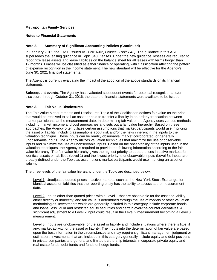### **Notes to Financial Statements**

# **Note 2. Summary of Significant Accounting Policies (Continued)**

In February 2016, the FASB issued ASU 2016-02, *Leases (Topic 842).* The guidance in this ASU supersedes the leasing guidance in Topic 840, *Leases.* Under the new guidance, lessees are required to recognize lease assets and lease liabilities on the balance sheet for all leases with terms longer than 12 months. Leases will be classified as either finance or operating, with classification affecting the pattern of expense recognition in the income statement. The new standard will be effective for the Agency's June 30, 2021 financial statements.

The Agency is currently evaluating the impact of the adoption of the above standards on its financial statements.

**Subsequent events**: The Agency has evaluated subsequent events for potential recognition and/or disclosure through October 31, 2016, the date the financial statements were available to be issued.

# **Note 3. Fair Value Disclosures**

The Fair Value Measurements and Disclosures Topic of the Codification defines fair value as the price that would be received to sell an asset or paid to transfer a liability in an orderly transaction between market participants at the measurement date. In determining fair value, the Agency uses various methods including market, income and cost approaches and sets out a fair value hierarchy. Based on these approaches, the Agency often utilizes certain assumptions that market participants would use in pricing the asset or liability, including assumptions about risk and/or the risks inherent in the inputs to the valuation technique. These inputs can be readily observable, market corroborated, or generally unobservable inputs. The Agency utilizes valuation techniques that maximize the use of observable inputs and minimize the use of unobservable inputs. Based on the observability of the inputs used in the valuation techniques, the Agency is required to provide the following information according to the fair value hierarchy. The fair value hierarchy gives the highest priority to quoted prices in active markets for identical assets or liabilities (Level 1) and the lowest priority to unobservable inputs (Level 3). Inputs are broadly defined under the Topic as assumptions market participants would use in pricing an asset or liability.

The three levels of the fair value hierarchy under the Topic are described below:

Level 1. Unadjusted quoted prices in active markets, such as the New York Stock Exchange, for identical assets or liabilities that the reporting entity has the ability to access at the measurement date.

Level 2. Inputs other than quoted prices within Level 1 that are observable for the asset or liability, either directly or indirectly; and fair value is determined through the use of models or other valuation methodologies. Investments which are generally included in this category include corporate bonds and loans, less liquid and restricted equity securities and certain over-the-counter derivatives. A significant adjustment to a Level 2 input could result in the Level 2 measurement becoming a Level 3 measurement.

Level 3. Inputs are unobservable for the asset or liability and include situations where there is little, if any, market activity for the asset or liability. The inputs into the determination of fair value are based upon the best information in the circumstances and may require significant management judgment or estimation. Investments that are included in this category generally include equity and debt positions in private companies and general and limited partnership interests in corporate private equity and real estate funds, debt funds and funds of hedge funds.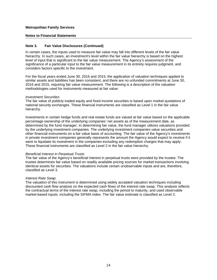#### **Notes to Financial Statements**

#### **Note 3. Fair Value Disclosures (Continued)**

In certain cases, the inputs used to measure fair value may fall into different levels of the fair value hierarchy. In such cases, an investment's level within the fair value hierarchy is based on the highest level of input that is significant to the fair value measurement. The Agency's assessment of the significance of a particular input to the fair value measurement in its entirety requires judgment, and considers factors specific to the investment.

For the fiscal years ended June 30, 2016 and 2015, the application of valuation techniques applied to similar assets and liabilities has been consistent, and there are no unfunded commitments at June 30, 2016 and 2015, requiring fair value measurement. The following is a description of the valuation methodologies used for instruments measured at fair value:

#### *Investment Securities*

The fair value of publicly traded equity and fixed income securities is based upon market quotations of national security exchanges. These financial instruments are classified as Level 1 in the fair value hierarchy.

Investments in certain hedge funds and real estate funds are valued at fair value based on the applicable percentage ownership of the underlying companies' net assets as of the measurement date, as determined by the fund manager. In determining fair value, the fund manager utilizes valuations provided by the underlying investment companies. The underlying investment companies value securities and other financial instruments on a fair value basis of accounting. The fair value of the Agency's investments in private investment companies generally represents the amount the Agency would expect to receive if it were to liquidate its investment in the companies excluding any redemption charges that may apply. These financial instruments are classified as Level 2 in the fair value hierarchy.

#### *Beneficial Interest in Perpetual Trusts*

The fair value of the Agency's beneficial interest in perpetual trusts were provided by the trustee. The trustee determines fair value based on readily available pricing sources for market transactions involving identical assets for securities. The valuations include certain unobservable inputs and are, therefore, classified as Level 3.

#### *Interest Rate Swap*

The valuation of this instrument is determined using widely accepted valuation techniques including discounted cash flow analysis on the expected cash flows of the interest rate swap. This analysis reflects the contractual terms of the interest rate swap, including the period to maturity, and used observable market-based inputs, including the SIFMA index. The fair value estimate is classified as Level 2.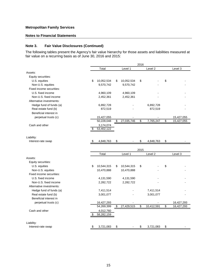# **Notes to Financial Statements**

# **Note 3. Fair Value Disclosures (Continued)**

The following tables present the Agency's fair value hierarchy for those assets and liabilities measured at fair value on a recurring basis as of June 30, 2016 and 2015:

|                          | 2016                       |    |            |    |            |    |            |  |  |
|--------------------------|----------------------------|----|------------|----|------------|----|------------|--|--|
|                          | Total                      |    | Level 1    |    | Level 2    |    | Level 3    |  |  |
| Assets:                  |                            |    |            |    |            |    |            |  |  |
| Equity securities:       |                            |    |            |    |            |    |            |  |  |
| U.S. equities            | \$<br>10,052,534           | \$ | 10,052,534 | \$ |            | \$ |            |  |  |
| Non-U.S. equities        | 9,570,742                  |    | 9,570,742  |    |            |    |            |  |  |
| Fixed income securities: |                            |    |            |    |            |    |            |  |  |
| U.S. fixed income        | 4,960,109                  |    | 4,960,109  |    |            |    |            |  |  |
| Non-U.S. fixed income    | 2,452,361                  |    | 2,452,361  |    |            |    |            |  |  |
| Alternative investments: |                            |    |            |    |            |    |            |  |  |
| Hedge fund of funds (a)  | 6,892,728                  |    |            |    | 6,892,728  |    |            |  |  |
| Real estate fund (b)     | 872,519                    |    |            |    | 872,519    |    |            |  |  |
| Beneficial interest in   |                            |    |            |    |            |    |            |  |  |
| perpetual trusts (c)     | 15,427,055                 |    |            |    |            |    | 15,427,055 |  |  |
|                          | $\overline{50}$ , 228, 048 | \$ | 27,035,746 | \$ | 7,765,247  | \$ | 15,427,055 |  |  |
| Cash and other           | 3,174,074                  |    |            |    |            |    |            |  |  |
|                          | 53,402,122                 |    |            |    |            |    |            |  |  |
|                          |                            |    |            |    |            |    |            |  |  |
| Liability:               |                            |    |            |    |            |    |            |  |  |
| Interest-rate swap       | 4,848,763                  | \$ |            | \$ | 4,848,763  | \$ |            |  |  |
|                          |                            |    |            |    |            |    |            |  |  |
|                          |                            |    | 2015       |    |            |    |            |  |  |
|                          | Total                      |    | Level 1    |    | Level 2    |    | Level 3    |  |  |
| Assets:                  |                            |    |            |    |            |    |            |  |  |
| Equity securities:       |                            |    |            |    |            |    |            |  |  |
| U.S. equities            | \$<br>10,544,315           | \$ | 10,544,315 | \$ |            | \$ |            |  |  |
| Non-U.S. equities        | 10,470,888                 |    | 10,470,888 |    |            |    |            |  |  |
| Fixed income securities: |                            |    |            |    |            |    |            |  |  |
| U.S. fixed income        | 4,131,590                  |    | 4,131,590  |    |            |    |            |  |  |
| Non-U.S. fixed income    | 2,282,722                  |    | 2,282,722  |    |            |    |            |  |  |
| Alternative investments: |                            |    |            |    |            |    |            |  |  |
| Hedge fund of funds (a)  | 7,411,514                  |    |            |    | 7,411,514  |    |            |  |  |
| Real estate fund (b)     | 3,001,077                  |    |            |    | 3,001,077  |    |            |  |  |
| Beneficial interest in   |                            |    |            |    |            |    |            |  |  |
| perpetual trusts (c)     | 16,427,293                 |    |            |    |            |    | 16,427,293 |  |  |
|                          | 54,269,399                 | \$ | 27,429,515 | \$ | 10,412,591 | \$ | 16,427,293 |  |  |
| Cash and other           | 4,012,760                  |    |            |    |            |    |            |  |  |
|                          | 58,282,159                 |    |            |    |            |    |            |  |  |
|                          |                            |    |            |    |            |    |            |  |  |
| Liability:               |                            |    |            |    |            |    |            |  |  |
| Interest-rate swap       | \$<br>3,721,083            | \$ |            | \$ | 3,721,083  | \$ |            |  |  |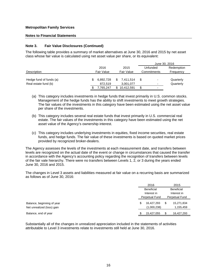### **Notes to Financial Statements**

## **Note 3. Fair Value Disclosures (Continued)**

The following table provides a summary of market alternatives at June 30, 2016 and 2015 by net asset class whose fair value is calculated using net asset value per share, or its equivalent:

|                         |                 |                  | June 30, 2016                  |            |  |  |  |
|-------------------------|-----------------|------------------|--------------------------------|------------|--|--|--|
|                         | 2016            | 2015             | Unfunded                       | Redemption |  |  |  |
| Description             | Fair Value      | Fair Value       | Commitments                    | Frequency  |  |  |  |
|                         |                 |                  |                                |            |  |  |  |
| Hedge fund of funds (a) | \$<br>6,892,728 | 7.411.514        | S<br>٠                         | Quarterly  |  |  |  |
| Real estate fund (b)    | 872.519         | 3,001,077        | $\overline{\phantom{a}}$       | Quarterly  |  |  |  |
|                         | 7,765,247       | 10,412,591<br>S. | \$<br>$\overline{\phantom{a}}$ |            |  |  |  |

- (a) This category includes investments in hedge funds that invest primarily in U.S. common stocks. Management of the hedge funds has the ability to shift investments to meet growth strategies. The fair values of the investments in this category have been estimated using the net asset value per share of the investments.
- (b) This category includes several real estate funds that invest primarily in U.S. commercial real estate. The fair values of the investments in this category have been estimated using the net asset value of the Agency's ownership interest.
- (c) This category includes underlying investments in equities, fixed income securities, real estate funds, and hedge funds. The fair value of these investments is based on quoted market prices provided by recognized broker-dealers.

The Agency assesses the levels of the investments at each measurement date, and transfers between levels are recognized on the actual date of the event or change in circumstances that caused the transfer in accordance with the Agency's accounting policy regarding the recognition of transfers between levels of the fair vale hierarchy. There were no transfers between Levels 1, 2, or 3 during the years ended June 30, 2016 and 2015.

The changes in Level 3 assets and liabilities measured at fair value on a recurring basis are summarized as follows as of June 30, 2016:

|                                                          |     | 2016                      |                | 2015                    |  |
|----------------------------------------------------------|-----|---------------------------|----------------|-------------------------|--|
|                                                          |     | Beneficial                | Beneficial     |                         |  |
|                                                          |     | Interest in               | Interest in    |                         |  |
|                                                          |     | <b>Perpetual Fund</b>     | Perpetual Fund |                         |  |
| Balance, beginning of year<br>Net unrealized (loss) gain | \$. | 16.427.293<br>(1,000,238) | S              | 15,271,834<br>1,155,459 |  |
| Balance, end of year                                     |     | 15,427,055                |                | 16,427,293              |  |

Substantially all of the changes in unrealized appreciation included in the statements of activities attributable to Level 3 investments relate to investments still held at June 30, 2016.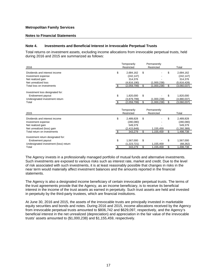#### **Notes to Financial Statements**

#### **Note 4. Investments and Beneficial Interest in Irrevocable Perpetual Trusts**

Total returns on investment assets, excluding income allocations from irrevocable perpetual trusts, held during 2016 and 2015 are summarized as follows:

| 2016                                                | Temporarily<br>Restricted     |     | Permanently<br>Restricted | Total                         |
|-----------------------------------------------------|-------------------------------|-----|---------------------------|-------------------------------|
| Dividends and interest income<br>Investment expense | \$<br>2,684,162<br>(242, 147) | \$  |                           | \$<br>2,684,162<br>(242, 147) |
| Net realized gain                                   | 314,376                       |     |                           | 314,376                       |
| Net unrealized loss                                 | (4,816,190)                   |     | (1,000,238)               | (5,816,428)                   |
| Total loss on investments                           | (2,059,799)                   | £.  | (1,000,238)               | \$<br>(3,060,037)             |
| Investment loss designated for:                     |                               |     |                           |                               |
| Endowment payout                                    | \$<br>1,820,000               | \$  |                           | \$<br>1,820,000               |
| Undesignated investment return                      | (3,879,799)                   |     | (1,000,238)               | (4,880,037)                   |
| Total                                               | (2,059,799)                   | \$. | (1,000,238)               | \$<br>(3,060,037)             |
| 2015                                                | Temporarily<br>Restricted     |     | Permanently<br>Restricted | Total                         |
| Dividends and interest income                       | \$<br>2,489,828               | \$  |                           | \$<br>2,489,828               |
| Investment expense                                  | (280,080)                     |     |                           | (280,080)                     |
| Net realized gain                                   | 549,379                       |     |                           | 549,379                       |
| Net unrealized (loss) gain                          | (2, 415, 848)                 |     | 1,155,459                 | (1, 260, 389)                 |
| Total return on investments                         | 343,279                       |     | 1,155,459                 | 1,498,738                     |
| Investment return designated for:                   |                               |     |                           |                               |
| Endowment payout                                    | \$<br>1,567,000               | \$  |                           | \$<br>1,567,000               |
| Undesignated investment (loss) return               | (1,223,721)                   |     | 1,155,459                 | (68, 262)                     |
| Total                                               | 343,279                       | \$  | 1,155,459                 | \$<br>1,498,738               |

The Agency invests in a professionally managed portfolio of mutual funds and alternative investments. Such investments are exposed to various risks such as interest rate, market and credit. Due to the level of risk associated with such investments, it is at least reasonably possible that changes in risks in the near term would materially affect investment balances and the amounts reported in the financial statements.

The Agency is also a designated income beneficiary of certain irrevocable perpetual trusts. The terms of the trust agreements provide that the Agency, as an income beneficiary, is to receive its beneficial interest in the income of the trust assets as earned in perpetuity. Such trust assets are held and invested in perpetuity by the third-party trustees, which are financial institutions.

At June 30, 2016 and 2015, the assets of the irrevocable trusts are principally invested in marketable equity securities and bonds and notes. During 2016 and 2015, income allocations received by the Agency from irrevocable perpetual trusts amounted to \$806,742 and \$629,097, respectively, and the Agency's beneficial interest in the net unrealized (depreciation) and appreciation in the fair value of the irrevocable trusts' assets amounted to (\$1,000,238) and \$1,155,459, respectively.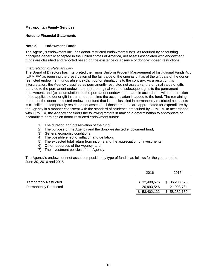### **Notes to Financial Statements**

#### **Note 5. Endowment Funds**

The Agency's endowment includes donor-restricted endowment funds. As required by accounting principles generally accepted in the United States of America, net assets associated with endowment funds are classified and reported based on the existence or absence of donor-imposed restrictions.

#### *Interpretation of Relevant Law*

The Board of Directors has interpreted the Illinois Uniform Prudent Management of Institutional Funds Act (UPMIFA) as requiring the preservation of the fair value of the original gift as of the gift date of the donorrestricted endowment funds absent explicit donor stipulations to the contrary. As a result of this interpretation, the Agency classified as permanently restricted net assets (a) the original value of gifts donated to the permanent endowment, (b) the original value of subsequent gifts to the permanent endowment, and (c) accumulations to the permanent endowment made in accordance with the direction of the applicable donor gift instrument at the time the accumulation is added to the fund. The remaining portion of the donor-restricted endowment fund that is not classified in permanently restricted net assets is classified as temporarily restricted net assets until those amounts are appropriated for expenditure by the Agency in a manner consistent with the standard of prudence prescribed by UPMIFA. In accordance with UPMIFA, the Agency considers the following factors in making a determination to appropriate or accumulate earnings on donor-restricted endowment funds:

- 1) The duration and preservation of the fund;
- 2) The purpose of the Agency and the donor-restricted endowment fund;
- 3) General economic conditions;
- 4) The possible effect of inflation and deflation;
- 5) The expected total return from income and the appreciation of investments;
- 6) Other resources of the Agency; and
- 7) The investment policies of the Agency.

The Agency's endowment net asset composition by type of fund is as follows for the years ended June 30, 2016 and 2015:

|                                                                | 2016                        | 2015                        |  |
|----------------------------------------------------------------|-----------------------------|-----------------------------|--|
| <b>Temporarily Restricted</b><br><b>Permanently Restricted</b> | \$ 32,408,576<br>20,993,546 | \$ 36,288,375<br>21,993,784 |  |
|                                                                | \$ 53,402,122               | 58,282,159<br>\$.           |  |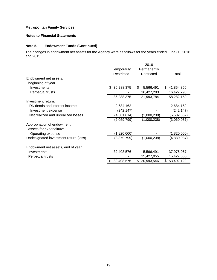# **Notes to Financial Statements**

# **Note 5. Endowment Funds (Continued)**

The changes in endowment net assets for the Agency were as follows for the years ended June 30, 2016 and 2015:

|                                       | 2016              |                  |                   |  |  |
|---------------------------------------|-------------------|------------------|-------------------|--|--|
|                                       | Temporarily       | Permanently      |                   |  |  |
|                                       | Restricted        | Restricted       | Total             |  |  |
| Endowment net assets,                 |                   |                  |                   |  |  |
| beginning of year                     |                   |                  |                   |  |  |
| Investments                           | 36,288,375<br>\$. | \$<br>5,566,491  | 41,854,866<br>\$. |  |  |
| Perpetual trusts                      |                   | 16,427,293       | 16,427,293        |  |  |
|                                       | 36,288,375        | 21,993,784       | 58,282,159        |  |  |
| Investment return:                    |                   |                  |                   |  |  |
| Dividends and interest income         | 2,684,162         |                  | 2,684,162         |  |  |
| Investment expense                    | (242, 147)        |                  | (242, 147)        |  |  |
| Net realized and unrealized losses    | (4,501,814)       | (1,000,238)      | (5,502,052)       |  |  |
|                                       | (2,059,799)       | (1,000,238)      | (3,060,037)       |  |  |
| Appropriation of endowment            |                   |                  |                   |  |  |
| assets for expenditure:               |                   |                  |                   |  |  |
| Operating expense                     | (1,820,000)       |                  | (1,820,000)       |  |  |
| Undesignated investment return (loss) | (3,879,799)       | (1,000,238)      | (4,880,037)       |  |  |
|                                       |                   |                  |                   |  |  |
| Endowment net assets, end of year     |                   |                  |                   |  |  |
| Investments                           | 32,408,576        | 5,566,491        | 37,975,067        |  |  |
| Perpetual trusts                      |                   | 15,427,055       | 15,427,055        |  |  |
|                                       | 32,408,576        | \$<br>20,993,546 | 53,402,122<br>\$. |  |  |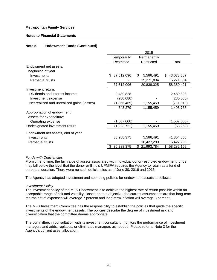### **Notes to Financial Statements**

# **Note 5. Endowment Funds (Continued)**

|                                            | 2015              |                  |                   |  |  |
|--------------------------------------------|-------------------|------------------|-------------------|--|--|
|                                            | Temporarily       | Permanently      |                   |  |  |
|                                            | Restricted        | Restricted       | Total             |  |  |
| Endowment net assets,                      |                   |                  |                   |  |  |
| beginning of year                          |                   |                  |                   |  |  |
| Investments                                | 37,512,096<br>\$. | \$<br>5,566,491  | 43,078,587<br>\$. |  |  |
| Perpetual trusts                           |                   | 15,271,834       | 15,271,834        |  |  |
|                                            | 37,512,096        | 20,838,325       | 58,350,421        |  |  |
| Investment return:                         |                   |                  |                   |  |  |
| Dividends and interest income              | 2,489,828         |                  | 2,489,828         |  |  |
| Investment expense                         | (280,080)         |                  | (280,080)         |  |  |
| Net realized and unrealized gains (losses) | (1,866,469)       | 1,155,459        | (711,010)         |  |  |
|                                            | 343,279           | 1,155,459        | 1,498,738         |  |  |
| Appropriation of endowment                 |                   |                  |                   |  |  |
| assets for expenditure:                    |                   |                  |                   |  |  |
| Operating expense                          | (1,567,000)       |                  | (1, 567, 000)     |  |  |
| Undesignated investment return             | (1,223,721)       | 1,155,459        | (68,262)          |  |  |
| Endowment net assets, end of year          |                   |                  |                   |  |  |
| Investments                                | 36,288,375        | 5,566,491        | 41,854,866        |  |  |
| Perpetual trusts                           |                   | 16,427,293       | 16,427,293        |  |  |
|                                            | 36,288,375<br>\$  | \$<br>21,993,784 | 58,282,159<br>\$  |  |  |

#### *Funds with Deficiencies*

From time to time, the fair value of assets associated with individual donor-restricted endowment funds may fall below the level that the donor or Illinois UPMIFA requires the Agency to retain as a fund of perpetual duration. There were no such deficiencies as of June 30, 2016 and 2015.

The Agency has adopted investment and spending policies for endowment assets as follows:

#### *Investment Policy*

The investment policy of the MFS Endowment is to achieve the highest rate of return possible within an acceptable range of risk and volatility. Based on that objective, the current assumptions are that long-term returns net of expenses will average 7 percent and long-term inflation will average 3 percent.

The MFS Investment Committee has the responsibility to establish the policies that guide the specific investments of the endowment assets. The policies describe the degree of investment risk and diversification that the committee deems appropriate.

The committee, in consultation with its investment consultant, monitors the performance of investment managers and adds, replaces, or eliminates managers as needed. Please refer to Note 3 for the Agency's current asset allocation.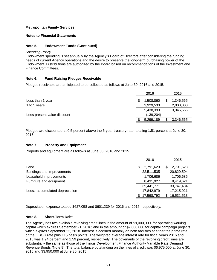## **Notes to Financial Statements**

## **Note 5. Endowment Funds (Continued)**

#### *Spending Policy*

Endowment spending is set annually by the Agency's Board of Directors after considering the funding needs of current Agency operations and the desire to preserve the long-term purchasing power of the Endowment. Distributions are authorized by the Board based on recommendations of the Investment and Finance Committees.

# **Note 6. Fund Raising Pledges Receivable**

Pledges receivable are anticipated to be collected as follows at June 30, 2016 and 2015:

|                             | 2016      | 2015      |
|-----------------------------|-----------|-----------|
| Less than 1 year            | 1,508,860 | 1,346,565 |
| 1 to 5 years                | 3,929,533 | 2,000,000 |
|                             | 5,438,393 | 3,346,565 |
| Less present value discount | (139,204) | -         |
|                             | 5,299,189 | 3,346,565 |

Pledges are discounted at 0.5 percent above the 5-year treasury rate, totaling 1.51 percent at June 30, 2016.

# **Note 7. Property and Equipment**

Property and equipment are as follows at June 30, 2016 and 2015.

|                                | 2016           | 2015             |
|--------------------------------|----------------|------------------|
| Land                           | 2,791,623<br>S | 2,791,623<br>\$. |
| Buildings and improvements     | 22,511,535     | 20,829,504       |
| Leasehold improvements         | 1,706,686      | 1,706,686        |
| Furniture and equipment        | 8,431,927      | 8,419,621        |
|                                | 35,441,771     | 33,747,434       |
| Less: accumulated depreciation | 17,842,979     | 17,215,921       |
|                                | 17,598,792     | 16,531,513<br>S  |

Depreciation expense totaled \$627,058 and \$601,239 for 2016 and 2015, respectively.

# **Note 8. Short-Term Debt**

The Agency has two available revolving credit lines in the amount of \$9,000,000, for operating working capital which expires September 21, 2016; and in the amount of \$2,000,000 for capital campaign projects which expires September 22, 2018. Interest is accrued monthly on both facilities at either the prime rate or the LIBOR rate plus 115 basis points. The weighted average interest rate for fiscal years 2016 and 2015 was 1.94 percent and 1.59 percent, respectively. The covenants of the revolving credit lines are substantially the same as those of the Illinois Development Finance Authority Variable Rate Demand Revenue Bonds (Note 9). The total balance outstanding on the lines of credit was \$6,975,000 at June 30, 2016 and \$3,950,000 at June 30, 2015.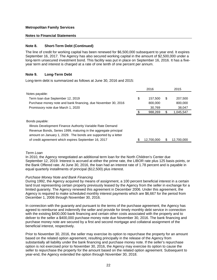### **Notes to Financial Statements**

# **Note 8. Short-Term Debt (Continued)**

The line of credit for working capital has been renewed for \$6,500,000 subsequent to year end. It expires September 16, 2017. The Agency has also secured working capital in the amount of \$2,500,000 under a long-term unsecured investment bond. This facility was put in place on September 16, 2016. It has a fiveyear term and interest is charged at a rate of one tenth of one percent per annum.

# **Note 9. Long-Term Debt**

Long-term debt is summarized as follows at June 30, 2016 and 2015:

|                                                                 | 2016          |     | 2015       |
|-----------------------------------------------------------------|---------------|-----|------------|
| Notes payable:                                                  |               |     |            |
| Term loan due September 12, 2019                                | \$<br>157.500 | \$. | 207,500    |
| Purchase money note and bank financing, due November 30, 2016   | 800,000       |     | 800,000    |
| Promissory note due March 1, 2020                               | 30.769        |     | 38.047     |
|                                                                 | 988.269       |     | 1,045,547  |
|                                                                 |               |     |            |
| Bonds payable:                                                  |               |     |            |
| Illinois Development Finance Authority Variable Rate Demand     |               |     |            |
| Revenue Bonds, Series 1999, maturing in the aggregate principal |               |     |            |
| amount on January 1, 2029. The bonds are supported by a letter  |               |     |            |
| of credit agreement which expires September 16, 2017            | 12.700.000    |     | 12.700.000 |

### *Term Loan*

In 2010, the Agency renegotiated an additional term loan for the North Children's Center due September 12, 2019. Interest is accrued at either the prime rate, the LIBOR rate plus 125 basis points, or the Bank Offered rate. At June 30, 2016, the loan had an interest rate of 1.78 percent and is payable in equal quarterly installments of principal (\$12,500) plus interest.

### *Purchase Money Note and Bank Financing*

During 1992, the Agency acquired by means of assignment, a 100 percent beneficial interest in a certain land trust representing certain property previously leased by the Agency from the seller in exchange for a limited guaranty. The Agency renewed this agreement in December 2006. Under this agreement, the Agency is required to make scheduled monthly interest payments which are \$6,667 for the period from December 1, 2006 through November 30, 2016.

In connection with the guaranty and pursuant to the terms of the purchase agreement, the Agency has agreed to reimburse and indemnify the seller and provide for timely monthly debt service in connection with the existing \$400,000 bank financing and certain other costs associated with the property and to deliver to the seller a \$400,000 purchase money note due November 30, 2016. The bank financing and purchase money note are secured by a first and second mortgage and collateral assignment of the beneficial interest, respectively.

Prior to November 30, 2016, the seller may exercise its option to repurchase the property for an amount based on the related option agreement, resulting principally in the release of the Agency from substantially all liability under the bank financing and purchase money note. If the seller's repurchase option is not exercised prior to November 30, 2016, the Agency may exercise its option to cause the seller to repurchase the property for the amount based on the related option agreement. Subsequent to year-end, the Agency extended the option through November 30, 2018.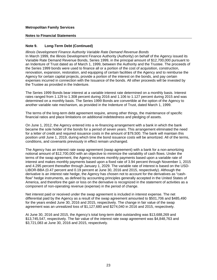### **Notes to Financial Statements**

# **Note 9. Long-Term Debt (Continued)**

*Illinois Development Finance Authority Variable Rate Demand Revenue Bonds*  In March 1999, the Illinois Development Finance Authority (Authority) on behalf of the Agency issued its Variable Rate Demand Revenue Bonds, Series 1999, in the principal amount of \$12,700,000 pursuant to an Indenture of Trust dated as of March 1, 1999, between the Authority and the Trustee. The proceeds of the Series 1999 bonds were used to finance all or a portion of the cost of acquisition, construction, renovation, expansion, restoration, and equipping of certain facilities of the Agency and to reimburse the Agency for certain capital projects, provide a portion of the interest on the bonds, and pay certain expenses incurred in connection with the Issuance of the bonds. All other proceeds will be invested by the Trustee as provided in the Indenture.

The Series 1999 Bonds bear interest at a variable interest rate determined on a monthly basis. Interest rates ranged from 1.129 to 1.308 percent during 2016 and 1.106 to 1.127 percent during 2015 and was determined on a monthly basis. The Series 1999 Bonds are convertible at the option of the Agency to another variable rate mechanism, as provided in the Indenture of Trust, dated March 1, 1999.

The terms of the long-term debt agreement require, among other things, the maintenance of specific financial ratios and place limitations on additional indebtedness and pledging of assets.

On June 1, 2012, the Agency entered into a re-financing arrangement with a bank in which the bank became the sole holder of the bonds for a period of seven years. This arrangement eliminated the need for a letter of credit and required issuance costs in the amount of \$79,500. The bank will maintain this position until June 1, 2019, during which time the bond issuance costs will be amortized. All of the terms, conditions, and covenants previously in effect remain unchanged.

The Agency has an interest rate swap agreement (swap agreement) with a bank for a non-amortizing notional amount of \$12,700,000 with an objective to minimize the variability of cash flows. Under the terms of the swap agreement, the Agency receives monthly payments based upon a variable rate of interest and makes monthly payments based upon a fixed rate of 3.94 percent through November 1, 2015 and 4.295 percent thereafter through January 1, 2029. The variable rate of interest is based on the USD-LIBOR-BBA (0.47 percent and 0.19 percent at June 30, 2016 and 2015, respectively). Although the derivative is an interest rate hedge, the Agency has chosen not to account for the derivatives as "cashflow" hedge instruments, as defined by accounting principles generally accepted in the United States of America, and therefore the gain or loss on the derivative is recognized in the statement of activities as a component of non-operating revenue (expense) in the period of change.

Net interest paid or received under the swap agreement is included in interest expense. The net differential paid by the Agency as a result of the swap agreement amounted to \$501,706 and \$485,490 for the years ended June 30, 2016 and 2015, respectively. The change in fair value of the swap agreement was an unrealized loss of \$1,127,680 and \$274,040 in 2016 and 2015, respectively.

At June 30, 2016 and 2015, the Agency's total long-term debt outstanding was \$13,688,269 and \$13,745,547, respectively. The fair value of the interest rate swap agreement was \$4,848,763 and \$3,721,083 at June 30, 2016 and 2015, respectively.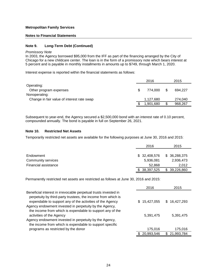## **Notes to Financial Statements**

## **Note 9. Long-Term Debt (Continued)**

#### *Promissory Note*

In 2003, the Agency borrowed \$95,000 from the IFF as part of the financing arranged by the City of Chicago for a new childcare center. The loan is in the form of a promissory note which bears interest at 5 percent and is payable in monthly installments in amounts up to \$749, through March 1, 2020.

Interest expense is reported within the financial statements as follows:

|                                            |   | 2016      | 2015    |
|--------------------------------------------|---|-----------|---------|
| Operating:                                 |   |           |         |
| Other program expenses                     | S | 774.000   | 694.227 |
| Nonoperating:                              |   |           |         |
| Change in fair value of interest rate swap |   | 1,127,680 | 274,040 |
|                                            |   | 1,901,680 | 968,267 |

Subsequent to year-end, the Agency secured a \$2,500,000 bond with an interest rate of 0.10 percent, compounded annually. The bond is payable in full on September 26, 2021.

# **Note 10. Restricted Net Assets**

Temporarily restricted net assets are available for the following purposes at June 30, 2016 and 2015:

|                      | 2016          | 2015          |
|----------------------|---------------|---------------|
|                      |               |               |
| Endowment            | \$32,408,576  | \$36,288,375  |
| Community services   | 5,936,081     | 2,936,473     |
| Financial assistance | 52.868        | 2.012         |
|                      | \$ 38,397,525 | \$ 39,226,860 |

Permanently restricted net assets are restricted as follows at June 30, 2016 and 2015:

|                                                                                                                                                                                              | 2016              | 2015              |
|----------------------------------------------------------------------------------------------------------------------------------------------------------------------------------------------|-------------------|-------------------|
| Beneficial interest in irrevocable perpetual trusts invested in<br>perpetuity by third-party trustees, the income from which is<br>expendable to support any of the activities of the Agency | 15,427,055<br>SS. | 16,427,293<br>\$. |
| Agency endowment invested in perpetuity by the Agency,<br>the income from which is expendable to support any of the                                                                          |                   |                   |
| activities of the Agency                                                                                                                                                                     | 5,391,475         | 5,391,475         |
| Agency endowment invested in perpetuity by the Agency,<br>the income from which is expendable to support specific                                                                            |                   |                   |
| programs as restricted by the donor                                                                                                                                                          | 175,016           | 175,016           |
|                                                                                                                                                                                              | 20,993,546        | 21,993,784<br>S.  |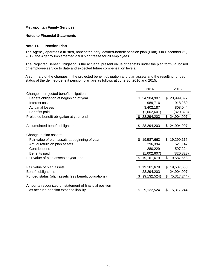## **Notes to Financial Statements**

#### **Note 11. Pension Plan**

The Agency operates a trusted, noncontributory, defined-benefit pension plan (Plan). On December 31, 2012, the Agency implemented a full plan freeze for all employees.

The Projected Benefit Obligation is the actuarial present value of benefits under the plan formula, based on employee service to date and expected future compensation levels.

A summary of the changes in the projected benefit obligation and plan assets and the resulting funded status of the defined-benefit pension plan are as follows at June 30, 2016 and 2015:

|                                                       | 2016              | 2015              |
|-------------------------------------------------------|-------------------|-------------------|
| Change in projected benefit obligation:               |                   |                   |
| Benefit obligation at beginning of year               | 24,904,907<br>\$. | 23,999,397<br>\$. |
| Interest cost                                         | 989,716           | 918,289           |
| <b>Actuarial losses</b>                               | 3,402,187         | 808,044           |
| Benefits paid                                         | (1,002,607)       | (820, 823)        |
| Projected benefit obligation at year-end              | 28,294,203        | \$24,904,907      |
| Accumulated benefit obligation                        | 28,294,203<br>-92 | \$24,904,907      |
| Change in plan assets:                                |                   |                   |
| Fair value of plan assets at beginning of year        | 19,587,663<br>\$. | 19,290,115<br>\$. |
| Actual return on plan assets                          | 296,394           | 521,147           |
| Contributions                                         | 280,229           | 597,224           |
| Benefits paid                                         | (1,002,607)       | (820,823)         |
| Fair value of plan assets at year-end                 | 19,161,679        | \$<br>19,587,663  |
| Fair value of plan assets                             | 19,161,679<br>\$  | 19,587,663<br>\$. |
| Benefit obligations                                   | 28,294,203        | 24,904,907        |
| Funded status (plan assets less benefit obligations)  | (9, 132, 524)     | \$<br>(5,317,244) |
|                                                       |                   |                   |
| as accrued pension expense liability                  | 9,132,524         | 5,317,244<br>S    |
| Amounts recognized on statement of financial position |                   |                   |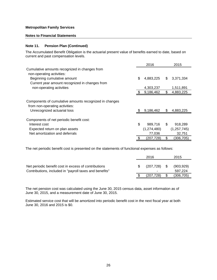## **Notes to Financial Statements**

## **Note 11. Pension Plan (Continued)**

The Accumulated Benefit Obligation is the actuarial present value of benefits earned to date, based on current and past compensation levels.

|                                                                                          | 2016            |     | 2015          |
|------------------------------------------------------------------------------------------|-----------------|-----|---------------|
| Cumulative amounts recognized in changes from<br>non-operating activities:               |                 |     |               |
| Beginning cumulative amount                                                              | \$<br>4,883,225 | S   | 3,371,334     |
| Current year amount recognized in changes from                                           |                 |     |               |
| non-operating activities                                                                 | 4,303,237       |     | 1,511,891     |
|                                                                                          | 9,186,462       | S   | 4,883,225     |
| Components of cumulative amounts recognized in changes<br>from non-operating activities: |                 |     |               |
| Unrecognized actuarial loss                                                              | 9,186,462       | \$. | 4,883,225     |
| Components of net periodic benefit cost:                                                 |                 |     |               |
| Interest cost                                                                            | \$<br>989,716   | \$  | 918,289       |
| Expected return on plan assets                                                           | (1,274,480)     |     | (1, 257, 745) |
| Net amortization and deferrals                                                           | 77,036          |     | 32,751        |
|                                                                                          | (207, 728)      |     | (306, 705)    |

The net periodic benefit cost is presented on the statements of functional expenses as follows:

|                                                                                                                 |      | 2016       |      | 2015                  |
|-----------------------------------------------------------------------------------------------------------------|------|------------|------|-----------------------|
| Net periodic benefit cost in excess of contributions<br>Contributions, included in "payroll taxes and benefits" | - \$ | (207.728)  | - \$ | (903, 929)<br>597.224 |
|                                                                                                                 |      | (207, 728) |      | (306, 705)            |

The net pension cost was calculated using the June 30, 2015 census data, asset information as of June 30, 2015, and a measurement date of June 30, 2015.

Estimated service cost that will be amortized into periodic benefit cost in the next fiscal year at both June 30, 2016 and 2015 is \$0.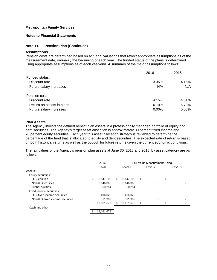### **Notes to Financial Statements**

#### **Note 11. Pension Plan (Continued)**

#### **Assumptions**

Pension costs are determined based on actuarial valuations that reflect appropriate assumptions as of the measurement date, ordinarily the beginning of each year. The funded status of the plans is determined using appropriate assumptions as of each year-end. A summary of the major assumptions follows:

|                           | 2016     | 2015     |
|---------------------------|----------|----------|
| Funded status:            |          |          |
| Discount rate             | 3.35%    | 4.15%    |
| Future salary increases   | N/A      | N/A      |
| Pension cost:             |          |          |
| Discount rate             | 4.15%    | 4.01%    |
| Return on assets in plans | 6.70%    | 6.70%    |
| Future salary increases   | $0.00\%$ | $0.00\%$ |

#### **Plan Assets**

The Agency invests the defined benefit plan assets in a professionally managed portfolio of equity and debt securities. The Agency's target asset allocation is approximately 30 percent fixed income and 70 percent equity securities. Each year this asset allocation strategy is reviewed to determine the percentage of the fund that is allocated to equity and debt securities. The expected rate of return is based on both historical returns as well as the outlook for future returns given the current economic conditions.

The fair values of the Agency's pension plan assets at June 30, 2016 and 2015, by asset category are as follows:

|                                  | 2016 |            |   |            | Fair Value Measurement Using |    |         |  |
|----------------------------------|------|------------|---|------------|------------------------------|----|---------|--|
|                                  |      | Total      |   | Level 1    | Level 2                      |    | Level 3 |  |
| Assets:                          |      |            |   |            |                              |    |         |  |
| Equity securities:               |      |            |   |            |                              |    |         |  |
| U.S. equities                    | \$   | 8,147,102  | S | 8,147,102  | \$                           | \$ |         |  |
| Non-U.S. equities                |      | 3,146,365  |   | 3,146,365  |                              |    |         |  |
| Global equities                  |      | 560,284    |   | 560.284    |                              |    |         |  |
| Fixed income securities:         |      |            |   |            |                              |    |         |  |
| U.S. fixed income securities     |      | 6,496,026  |   | 6,496,026  |                              |    |         |  |
| Non-U.S. fixed income securities |      | 811,902    |   | 811,902    |                              |    |         |  |
|                                  |      | 19,161,679 |   | 19,161,679 | \$                           |    |         |  |
| Cash and other                   |      |            |   |            |                              |    |         |  |
|                                  |      | 19,161,679 |   |            |                              |    |         |  |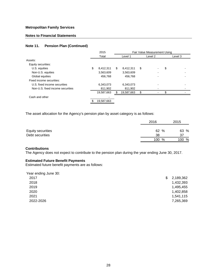# **Notes to Financial Statements**

# **Note 11. Pension Plan (Continued)**

|                                  | 2015 |            |   | Fair Value Measurement Using |    |         |    |         |  |
|----------------------------------|------|------------|---|------------------------------|----|---------|----|---------|--|
|                                  |      | Total      |   | Level 1                      |    | Level 2 |    | Level 3 |  |
| Assets:                          |      |            |   |                              |    |         |    |         |  |
| Equity securities:               |      |            |   |                              |    |         |    |         |  |
| U.S. equities                    | \$   | 8,412,311  | S | 8,412,311                    | \$ |         | \$ |         |  |
| Non-U.S. equities                |      | 3,563,609  |   | 3,563,609                    |    |         |    |         |  |
| Global equities                  |      | 456,768    |   | 456.768                      |    |         |    |         |  |
| Fixed income securities:         |      |            |   |                              |    |         |    |         |  |
| U.S. fixed income securities     |      | 6,343,073  |   | 6,343,073                    |    |         |    |         |  |
| Non-U.S. fixed income securities |      | 811,902    |   | 811,902                      |    |         |    |         |  |
|                                  |      | 19,587,663 |   | 19,587,663                   | \$ |         | ሖ  |         |  |
| Cash and other                   |      |            |   |                              |    |         |    |         |  |
|                                  |      | 19,587,663 |   |                              |    |         |    |         |  |

The asset allocation for the Agency's pension plan by asset category is as follows:

|                   | 2016 | 2015          |
|-------------------|------|---------------|
| Equity securities | 62   | 63 %<br>%     |
| Debt securities   | 38   | 37            |
|                   | 100  | %<br>%<br>100 |

# **Contributions**

The Agency does not expect to contribute to the pension plan during the year ending June 30, 2017.

# **Estimated Future Benefit Payments**

Estimated future benefit payments are as follows:

Year ending June 30:

| 2017      | \$<br>2,189,362 |
|-----------|-----------------|
| 2018      | 1,432,393       |
| 2019      | 1,495,455       |
| 2020      | 1,402,858       |
| 2021      | 1,541,115       |
| 2022-2026 | 7,265,369       |